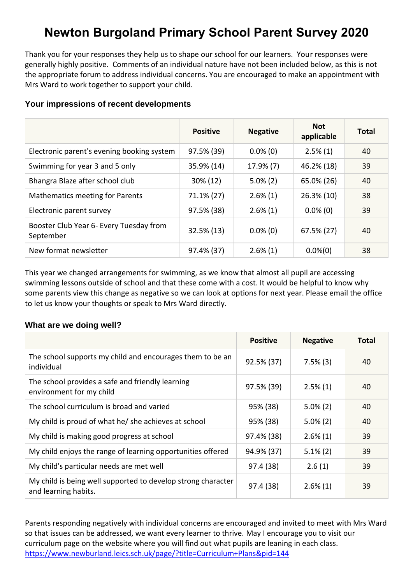# **Newton Burgoland Primary School Parent Survey 2020**

Thank you for your responses they help us to shape our school for our learners. Your responses were generally highly positive. Comments of an individual nature have not been included below, as this is not the appropriate forum to address individual concerns. You are encouraged to make an appointment with Mrs Ward to work together to support your child.

|  |  |  | Your impressions of recent developments |
|--|--|--|-----------------------------------------|
|--|--|--|-----------------------------------------|

|                                                      | <b>Positive</b> | <b>Negative</b> | <b>Not</b><br>applicable | <b>Total</b> |
|------------------------------------------------------|-----------------|-----------------|--------------------------|--------------|
| Electronic parent's evening booking system           | 97.5% (39)      | $0.0\%$ (0)     | $2.5\%(1)$               | 40           |
| Swimming for year 3 and 5 only                       | 35.9% (14)      | 17.9% (7)       | 46.2% (18)               | 39           |
| Bhangra Blaze after school club                      | 30% (12)        | $5.0\%$ (2)     | 65.0% (26)               | 40           |
| <b>Mathematics meeting for Parents</b>               | 71.1% (27)      | $2.6\%(1)$      | 26.3% (10)               | 38           |
| Electronic parent survey                             | 97.5% (38)      | $2.6\%(1)$      | $0.0\%$ (0)              | 39           |
| Booster Club Year 6- Every Tuesday from<br>September | 32.5% (13)      | $0.0\%$ (0)     | 67.5% (27)               | 40           |
| New format newsletter                                | 97.4% (37)      | $2.6\%(1)$      | $0.0\%(0)$               | 38           |

This year we changed arrangements for swimming, as we know that almost all pupil are accessing swimming lessons outside of school and that these come with a cost. It would be helpful to know why some parents view this change as negative so we can look at options for next year. Please email the office to let us know your thoughts or speak to Mrs Ward directly.

# **What are we doing well?**

|                                                                                      | <b>Positive</b> | <b>Negative</b> | <b>Total</b> |
|--------------------------------------------------------------------------------------|-----------------|-----------------|--------------|
| The school supports my child and encourages them to be an<br>individual              | 92.5% (37)      | $7.5\%$ (3)     | 40           |
| The school provides a safe and friendly learning<br>environment for my child         | 97.5% (39)      | $2.5\%(1)$      | 40           |
| The school curriculum is broad and varied                                            | 95% (38)        | $5.0\%$ (2)     | 40           |
| My child is proud of what he/ she achieves at school                                 | 95% (38)        | $5.0\%$ (2)     | 40           |
| My child is making good progress at school                                           | 97.4% (38)      | $2.6\%(1)$      | 39           |
| My child enjoys the range of learning opportunities offered                          | 94.9% (37)      | $5.1\%$ (2)     | 39           |
| My child's particular needs are met well                                             | 97.4 (38)       | 2.6(1)          | 39           |
| My child is being well supported to develop strong character<br>and learning habits. | 97.4 (38)       | $2.6\%(1)$      | 39           |

Parents responding negatively with individual concerns are encouraged and invited to meet with Mrs Ward so that issues can be addressed, we want every learner to thrive. May I encourage you to visit our curriculum page on the website where you will find out what pupils are leaning in each class. <https://www.newburland.leics.sch.uk/page/?title=Curriculum+Plans&pid=144>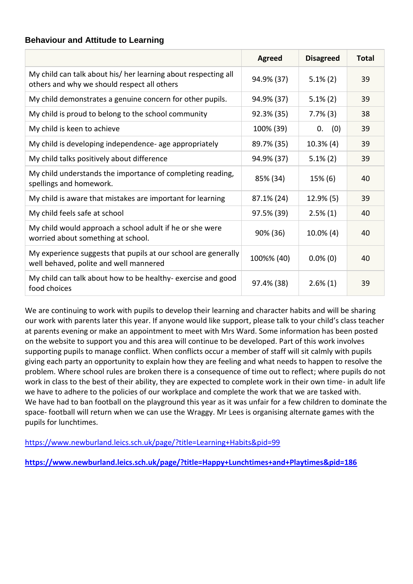# **Behaviour and Attitude to Learning**

|                                                                                                               | <b>Agreed</b> | <b>Disagreed</b> | <b>Total</b> |
|---------------------------------------------------------------------------------------------------------------|---------------|------------------|--------------|
| My child can talk about his/ her learning about respecting all<br>others and why we should respect all others | 94.9% (37)    | $5.1\%$ (2)      | 39           |
| My child demonstrates a genuine concern for other pupils.                                                     | 94.9% (37)    | $5.1\%$ (2)      | 39           |
| My child is proud to belong to the school community                                                           | 92.3% (35)    | $7.7\%$ (3)      | 38           |
| My child is keen to achieve                                                                                   | 100% (39)     | (0)<br>0.        | 39           |
| My child is developing independence- age appropriately                                                        | 89.7% (35)    | $10.3\%$ (4)     | 39           |
| My child talks positively about difference                                                                    | 94.9% (37)    | $5.1\%$ (2)      | 39           |
| My child understands the importance of completing reading,<br>spellings and homework.                         | 85% (34)      | 15% (6)          | 40           |
| My child is aware that mistakes are important for learning                                                    | 87.1% (24)    | $12.9\%$ (5)     | 39           |
| My child feels safe at school                                                                                 | 97.5% (39)    | $2.5\%(1)$       | 40           |
| My child would approach a school adult if he or she were<br>worried about something at school.                | 90% (36)      | $10.0\%$ (4)     | 40           |
| My experience suggests that pupils at our school are generally<br>well behaved, polite and well mannered      | 100%% (40)    | $0.0\%$ (0)      | 40           |
| My child can talk about how to be healthy- exercise and good<br>food choices                                  | 97.4% (38)    | $2.6\%(1)$       | 39           |

We are continuing to work with pupils to develop their learning and character habits and will be sharing our work with parents later this year. If anyone would like support, please talk to your child's class teacher at parents evening or make an appointment to meet with Mrs Ward. Some information has been posted on the website to support you and this area will continue to be developed. Part of this work involves supporting pupils to manage conflict. When conflicts occur a member of staff will sit calmly with pupils giving each party an opportunity to explain how they are feeling and what needs to happen to resolve the problem. Where school rules are broken there is a consequence of time out to reflect; where pupils do not work in class to the best of their ability, they are expected to complete work in their own time- in adult life we have to adhere to the policies of our workplace and complete the work that we are tasked with. We have had to ban football on the playground this year as it was unfair for a few children to dominate the space- football will return when we can use the Wraggy. Mr Lees is organising alternate games with the pupils for lunchtimes.

<https://www.newburland.leics.sch.uk/page/?title=Learning+Habits&pid=99>

**<https://www.newburland.leics.sch.uk/page/?title=Happy+Lunchtimes+and+Playtimes&pid=186>**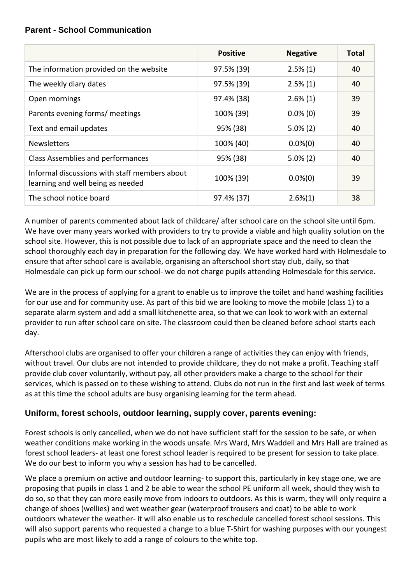# **Parent - School Communication**

|                                                                                    | <b>Positive</b> | <b>Negative</b> | <b>Total</b> |
|------------------------------------------------------------------------------------|-----------------|-----------------|--------------|
| The information provided on the website                                            | 97.5% (39)      | $2.5\%(1)$      | 40           |
| The weekly diary dates                                                             | 97.5% (39)      | $2.5\%(1)$      | 40           |
| Open mornings                                                                      | 97.4% (38)      | $2.6\%(1)$      | 39           |
| Parents evening forms/ meetings                                                    | 100% (39)       | $0.0\%$ (0)     | 39           |
| Text and email updates                                                             | 95% (38)        | $5.0\%$ (2)     | 40           |
| <b>Newsletters</b>                                                                 | 100% (40)       | $0.0\%(0)$      | 40           |
| Class Assemblies and performances                                                  | 95% (38)        | $5.0\%$ (2)     | 40           |
| Informal discussions with staff members about<br>learning and well being as needed | 100% (39)       | $0.0\%(0)$      | 39           |
| The school notice board                                                            | 97.4% (37)      | $2.6\%(1)$      | 38           |

A number of parents commented about lack of childcare/ after school care on the school site until 6pm. We have over many years worked with providers to try to provide a viable and high quality solution on the school site. However, this is not possible due to lack of an appropriate space and the need to clean the school thoroughly each day in preparation for the following day. We have worked hard with Holmesdale to ensure that after school care is available, organising an afterschool short stay club, daily, so that Holmesdale can pick up form our school- we do not charge pupils attending Holmesdale for this service.

We are in the process of applying for a grant to enable us to improve the toilet and hand washing facilities for our use and for community use. As part of this bid we are looking to move the mobile (class 1) to a separate alarm system and add a small kitchenette area, so that we can look to work with an external provider to run after school care on site. The classroom could then be cleaned before school starts each day.

Afterschool clubs are organised to offer your children a range of activities they can enjoy with friends, without travel. Our clubs are not intended to provide childcare, they do not make a profit. Teaching staff provide club cover voluntarily, without pay, all other providers make a charge to the school for their services, which is passed on to these wishing to attend. Clubs do not run in the first and last week of terms as at this time the school adults are busy organising learning for the term ahead.

# **Uniform, forest schools, outdoor learning, supply cover, parents evening:**

Forest schools is only cancelled, when we do not have sufficient staff for the session to be safe, or when weather conditions make working in the woods unsafe. Mrs Ward, Mrs Waddell and Mrs Hall are trained as forest school leaders- at least one forest school leader is required to be present for session to take place. We do our best to inform you why a session has had to be cancelled.

We place a premium on active and outdoor learning- to support this, particularly in key stage one, we are proposing that pupils in class 1 and 2 be able to wear the school PE uniform all week, should they wish to do so, so that they can more easily move from indoors to outdoors. As this is warm, they will only require a change of shoes (wellies) and wet weather gear (waterproof trousers and coat) to be able to work outdoors whatever the weather- it will also enable us to reschedule cancelled forest school sessions. This will also support parents who requested a change to a blue T-Shirt for washing purposes with our youngest pupils who are most likely to add a range of colours to the white top.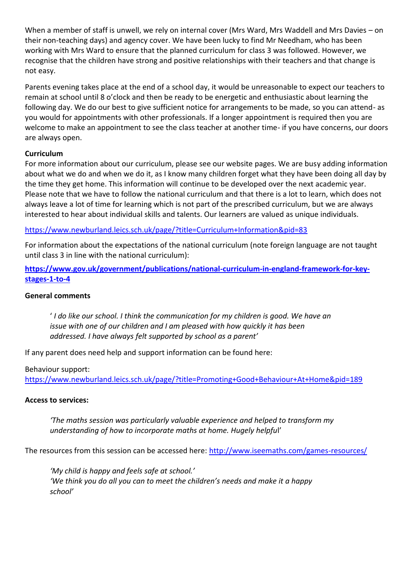When a member of staff is unwell, we rely on internal cover (Mrs Ward, Mrs Waddell and Mrs Davies – on their non-teaching days) and agency cover. We have been lucky to find Mr Needham, who has been working with Mrs Ward to ensure that the planned curriculum for class 3 was followed. However, we recognise that the children have strong and positive relationships with their teachers and that change is not easy.

Parents evening takes place at the end of a school day, it would be unreasonable to expect our teachers to remain at school until 8 o'clock and then be ready to be energetic and enthusiastic about learning the following day. We do our best to give sufficient notice for arrangements to be made, so you can attend- as you would for appointments with other professionals. If a longer appointment is required then you are welcome to make an appointment to see the class teacher at another time- if you have concerns, our doors are always open.

## **Curriculum**

For more information about our curriculum, please see our website pages. We are busy adding information about what we do and when we do it, as I know many children forget what they have been doing all day by the time they get home. This information will continue to be developed over the next academic year. Please note that we have to follow the national curriculum and that there is a lot to learn, which does not always leave a lot of time for learning which is not part of the prescribed curriculum, but we are always interested to hear about individual skills and talents. Our learners are valued as unique individuals.

<https://www.newburland.leics.sch.uk/page/?title=Curriculum+Information&pid=83>

For information about the expectations of the national curriculum (note foreign language are not taught until class 3 in line with the national curriculum):

**[https://www.gov.uk/government/publications/national-curriculum-in-england-framework-for-key](https://www.gov.uk/government/publications/national-curriculum-in-england-framework-for-key-stages-1-to-4)[stages-1-to-4](https://www.gov.uk/government/publications/national-curriculum-in-england-framework-for-key-stages-1-to-4)**

## **General comments**

' *I do like our school. I think the communication for my children is good. We have an issue with one of our children and I am pleased with how quickly it has been addressed. I have always felt supported by school as a parent'*

If any parent does need help and support information can be found here:

#### Behaviour support:

<https://www.newburland.leics.sch.uk/page/?title=Promoting+Good+Behaviour+At+Home&pid=189>

#### **Access to services:**

*'The maths session was particularly valuable experience and helped to transform my understanding of how to incorporate maths at home. Hugely helpfu*l'

The resources from this session can be accessed here:<http://www.iseemaths.com/games-resources/>

*'My child is happy and feels safe at school.' 'We think you do all you can to meet the children's needs and make it a happy school'*